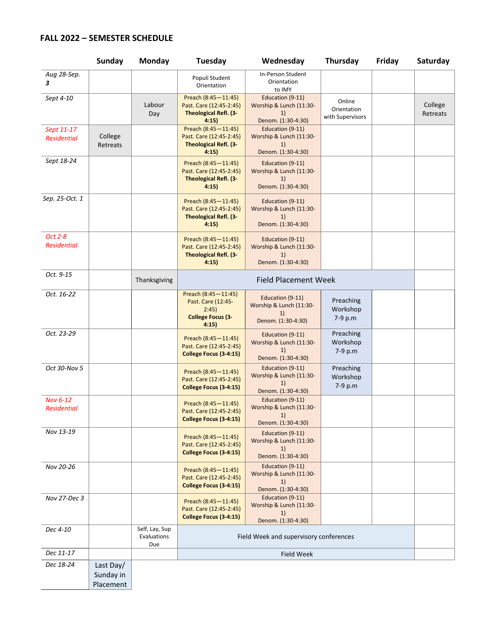## **FALL 2022 – SEMESTER SCHEDULE**

|                                       | <b>Sunday</b>                       | <b>Monday</b>                        | <b>Tuesday</b>                                                                          | Wednesday                                                               | Thursday                                  | Friday | Saturday            |
|---------------------------------------|-------------------------------------|--------------------------------------|-----------------------------------------------------------------------------------------|-------------------------------------------------------------------------|-------------------------------------------|--------|---------------------|
| Aug 28-Sep.<br>3                      |                                     |                                      | Populi Student<br>Orientation                                                           | In-Person Student<br>Orientation<br>to IMY                              |                                           |        |                     |
| Sept 4-10                             |                                     | Labour<br>Day                        | Preach (8:45-11:45)<br>Past. Care (12:45-2:45)<br><b>Theological Refl. (3-</b><br>4:15  | Education (9-11)<br>Worship & Lunch (11:30-<br>1)<br>Denom. (1:30-4:30) | Online<br>Orientation<br>with Supervisors |        | College<br>Retreats |
| Sept 11-17<br><b>Residential</b>      | College<br>Retreats                 |                                      | Preach (8:45-11:45)<br>Past. Care (12:45-2:45)<br><b>Theological Refl. (3-</b><br>4:15) | Education (9-11)<br>Worship & Lunch (11:30-<br>1)<br>Denom. (1:30-4:30) |                                           |        |                     |
| Sept 18-24                            |                                     |                                      | Preach (8:45-11:45)<br>Past. Care (12:45-2:45)<br><b>Theological Refl. (3-</b><br>4:15) | Education (9-11)<br>Worship & Lunch (11:30-<br>1)<br>Denom. (1:30-4:30) |                                           |        |                     |
| Sep. 25-Oct. 1                        |                                     |                                      | Preach (8:45-11:45)<br>Past. Care (12:45-2:45)<br><b>Theological Refl. (3-</b><br>4:15) | Education (9-11)<br>Worship & Lunch (11:30-<br>1)<br>Denom. (1:30-4:30) |                                           |        |                     |
| Oct 2-8<br><b>Residential</b>         |                                     |                                      | Preach (8:45-11:45)<br>Past. Care (12:45-2:45)<br><b>Theological Refl. (3-</b><br>4:15) | Education (9-11)<br>Worship & Lunch (11:30-<br>1)<br>Denom. (1:30-4:30) |                                           |        |                     |
| Oct. 9-15                             |                                     | Thanksgiving                         | <b>Field Placement Week</b>                                                             |                                                                         |                                           |        |                     |
| Oct. 16-22                            |                                     |                                      | Preach (8:45-11:45)<br>Past. Care (12:45-<br>2:45)<br><b>College Focus (3-</b><br>4:15  | Education (9-11)<br>Worship & Lunch (11:30-<br>1)<br>Denom. (1:30-4:30) | Preaching<br>Workshop<br>7-9 p.m          |        |                     |
| Oct. 23-29                            |                                     |                                      | Preach (8:45-11:45)<br>Past. Care (12:45-2:45)<br>College Focus (3-4:15)                | Education (9-11)<br>Worship & Lunch (11:30-<br>1)<br>Denom. (1:30-4:30) | Preaching<br>Workshop<br>7-9 p.m          |        |                     |
| Oct 30-Nov 5                          |                                     |                                      | Preach (8:45-11:45)<br>Past. Care (12:45-2:45)<br>College Focus (3-4:15)                | Education (9-11)<br>Worship & Lunch (11:30-<br>1)<br>Denom. (1:30-4:30) | Preaching<br>Workshop<br>7-9 p.m          |        |                     |
| <b>Nov 6-12</b><br><b>Residential</b> |                                     |                                      | Preach (8:45-11:45)<br>Past. Care (12:45-2:45)<br>College Focus (3-4:15)                | Education (9-11)<br>Worship & Lunch (11:30-<br>1)<br>Denom. (1:30-4:30) |                                           |        |                     |
| Nov 13-19                             |                                     |                                      | Preach (8:45-11:45)<br>Past. Care (12:45-2:45)<br>College Focus (3-4:15)                | Education (9-11)<br>Worship & Lunch (11:30-<br>1)<br>Denom. (1:30-4:30) |                                           |        |                     |
| Nov 20-26                             |                                     |                                      | Preach (8:45-11:45)<br>Past. Care (12:45-2:45)<br>College Focus (3-4:15)                | Education (9-11)<br>Worship & Lunch (11:30-<br>1)<br>Denom. (1:30-4:30) |                                           |        |                     |
| Nov 27-Dec 3                          |                                     |                                      | Preach (8:45-11:45)<br>Past. Care (12:45-2:45)<br>College Focus (3-4:15)                | Education (9-11)<br>Worship & Lunch (11:30-<br>1)<br>Denom. (1:30-4:30) |                                           |        |                     |
| Dec 4-10                              |                                     | Self, Lay, Sup<br>Evaluations<br>Due | Field Week and supervisory conferences                                                  |                                                                         |                                           |        |                     |
| Dec 11-17                             |                                     |                                      | Field Week                                                                              |                                                                         |                                           |        |                     |
| Dec 18-24                             | Last Day/<br>Sunday in<br>Placement |                                      |                                                                                         |                                                                         |                                           |        |                     |